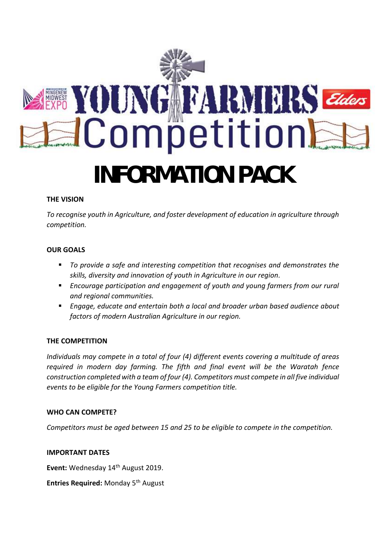

## **THE VISION**

*To recognise youth in Agriculture, and foster development of education in agriculture through competition.*

## **OUR GOALS**

- To provide a safe and interesting competition that recognises and demonstrates the *skills, diversity and innovation of youth in Agriculture in our region.*
- **Encourage participation and engagement of youth and young farmers from our rural** *and regional communities.*
- *Engage, educate and entertain both a local and broader urban based audience about factors of modern Australian Agriculture in our region.*

#### **THE COMPETITION**

*Individuals may compete in a total of four (4) different events covering a multitude of areas required in modern day farming. The fifth and final event will be the Waratah fence construction completed with a team of four (4). Competitors must compete in all five individual events to be eligible for the Young Farmers competition title.*

#### **WHO CAN COMPETE?**

*Competitors must be aged between 15 and 25 to be eligible to compete in the competition.*

#### **IMPORTANT DATES**

Event: Wednesday 14<sup>th</sup> August 2019.

**Entries Required:** Monday 5<sup>th</sup> August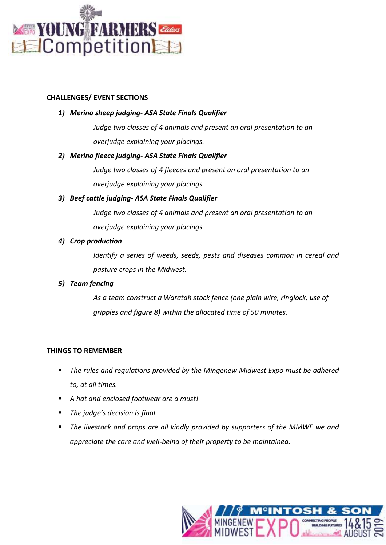

#### **CHALLENGES/ EVENT SECTIONS**

## *1) Merino sheep judging- ASA State Finals Qualifier*

*Judge two classes of 4 animals and present an oral presentation to an overjudge explaining your placings.*

## *2) Merino fleece judging- ASA State Finals Qualifier*

*Judge two classes of 4 fleeces and present an oral presentation to an overjudge explaining your placings.*

## *3) Beef cattle judging- ASA State Finals Qualifier*

*Judge two classes of 4 animals and present an oral presentation to an overjudge explaining your placings.*

## *4) Crop production*

*Identify a series of weeds, seeds, pests and diseases common in cereal and pasture crops in the Midwest.*

# *5) Team fencing*

*As a team construct a Waratah stock fence (one plain wire, ringlock, use of gripples and figure 8) within the allocated time of 50 minutes.*

#### **THINGS TO REMEMBER**

- The rules and regulations provided by the Mingenew Midwest Expo must be adhered *to, at all times.*
- *A hat and enclosed footwear are a must!*
- *The judge's decision is final*
- The livestock and props are all kindly provided by supporters of the MMWE we and *appreciate the care and well-being of their property to be maintained.*